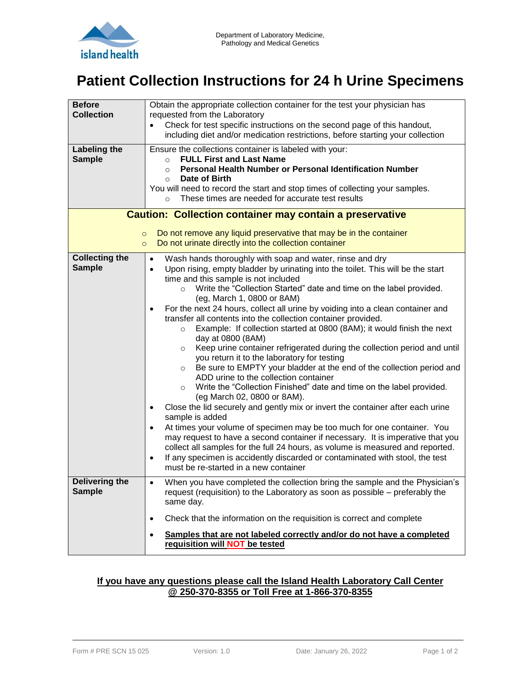

# **Patient Collection Instructions for 24 h Urine Specimens**

| <b>Before</b><br><b>Collection</b><br><b>Labeling the</b><br><b>Sample</b>                                                                                                                                           | Obtain the appropriate collection container for the test your physician has<br>requested from the Laboratory<br>Check for test specific instructions on the second page of this handout,<br>including diet and/or medication restrictions, before starting your collection<br>Ensure the collections container is labeled with your:<br><b>FULL First and Last Name</b><br>$\circ$<br>Personal Health Number or Personal Identification Number<br>$\circ$<br>Date of Birth<br>$\circ$<br>You will need to record the start and stop times of collecting your samples.<br>These times are needed for accurate test results<br>$\circ$                                                                                                                                                                                                                                                                                                                                                                                                                                                                                                                                                                                                                                                                                                                                                                                                                                                                             |  |  |  |
|----------------------------------------------------------------------------------------------------------------------------------------------------------------------------------------------------------------------|------------------------------------------------------------------------------------------------------------------------------------------------------------------------------------------------------------------------------------------------------------------------------------------------------------------------------------------------------------------------------------------------------------------------------------------------------------------------------------------------------------------------------------------------------------------------------------------------------------------------------------------------------------------------------------------------------------------------------------------------------------------------------------------------------------------------------------------------------------------------------------------------------------------------------------------------------------------------------------------------------------------------------------------------------------------------------------------------------------------------------------------------------------------------------------------------------------------------------------------------------------------------------------------------------------------------------------------------------------------------------------------------------------------------------------------------------------------------------------------------------------------|--|--|--|
| <b>Caution: Collection container may contain a preservative</b><br>Do not remove any liquid preservative that may be in the container<br>$\circ$<br>Do not urinate directly into the collection container<br>$\circ$ |                                                                                                                                                                                                                                                                                                                                                                                                                                                                                                                                                                                                                                                                                                                                                                                                                                                                                                                                                                                                                                                                                                                                                                                                                                                                                                                                                                                                                                                                                                                  |  |  |  |
| <b>Collecting the</b><br><b>Sample</b>                                                                                                                                                                               | Wash hands thoroughly with soap and water, rinse and dry<br>$\bullet$<br>Upon rising, empty bladder by urinating into the toilet. This will be the start<br>$\bullet$<br>time and this sample is not included<br>Write the "Collection Started" date and time on the label provided.<br>$\circ$<br>(eg, March 1, 0800 or 8AM)<br>For the next 24 hours, collect all urine by voiding into a clean container and<br>$\bullet$<br>transfer all contents into the collection container provided.<br>Example: If collection started at 0800 (8AM); it would finish the next<br>$\circ$<br>day at 0800 (8AM)<br>Keep urine container refrigerated during the collection period and until<br>$\circ$<br>you return it to the laboratory for testing<br>Be sure to EMPTY your bladder at the end of the collection period and<br>$\circ$<br>ADD urine to the collection container<br>Write the "Collection Finished" date and time on the label provided.<br>$\circ$<br>(eg March 02, 0800 or 8AM).<br>Close the lid securely and gently mix or invert the container after each urine<br>$\bullet$<br>sample is added<br>At times your volume of specimen may be too much for one container. You<br>$\bullet$<br>may request to have a second container if necessary. It is imperative that you<br>collect all samples for the full 24 hours, as volume is measured and reported.<br>If any specimen is accidently discarded or contaminated with stool, the test<br>$\bullet$<br>must be re-started in a new container |  |  |  |
| Delivering the<br><b>Sample</b>                                                                                                                                                                                      | When you have completed the collection bring the sample and the Physician's<br>$\bullet$<br>request (requisition) to the Laboratory as soon as possible – preferably the<br>same day.                                                                                                                                                                                                                                                                                                                                                                                                                                                                                                                                                                                                                                                                                                                                                                                                                                                                                                                                                                                                                                                                                                                                                                                                                                                                                                                            |  |  |  |
|                                                                                                                                                                                                                      | Check that the information on the requisition is correct and complete<br>$\bullet$<br>Samples that are not labeled correctly and/or do not have a completed<br>$\bullet$<br>requisition will NOT be tested                                                                                                                                                                                                                                                                                                                                                                                                                                                                                                                                                                                                                                                                                                                                                                                                                                                                                                                                                                                                                                                                                                                                                                                                                                                                                                       |  |  |  |

#### **If you have any questions please call the Island Health Laboratory Call Center @ 250-370-8355 or Toll Free at 1-866-370-8355**